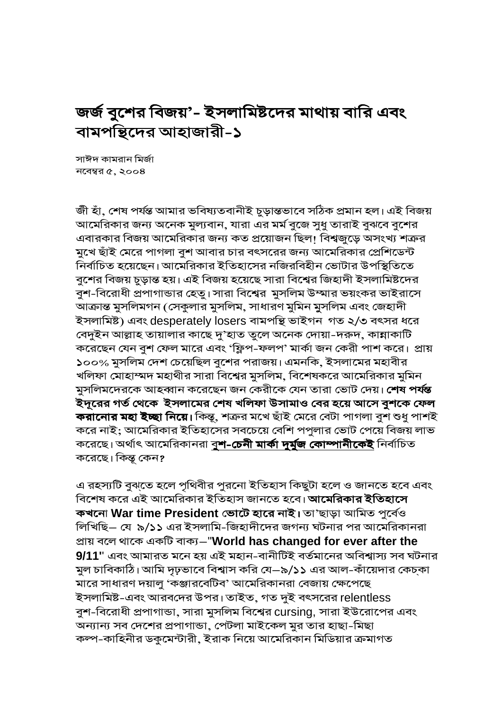## জর্জ বুশের বিজয়'- ইসলামিষ্টদের মাথায় বারি এবং বামপন্থিদের আহাজারী-১

সাঈদ কামরান মির্জা নবেম্বর  $\alpha$ , ২০০৪

জী হাঁ, শেষ পৰ্যন্ত আমার ভবিষ্যতবানীই চূড়ান্তভাবে সঠিক প্ৰমান হল। এই বিজয় আমেরিকার জন্য অনেক মুল্যবান, যারা এর মর্ম বুজে সুধু তারাই বুঝবে বুশের এবারকার বিজয় আমেরিকার জন্য কত প্রয়োজন ছিল! বিশ্বজুড়ে অসংখ্য শত্রুর মুখে ছাঁই মেরে পাগলা বুশ আবার চার বৎসরের জন্য আমেরিকার প্রেশিডেন্ট নির্বাচিত হয়েছেন। আমেরিকার ইতিহাসের নজিরবিহীন ভোটার উপস্থিতিতে বুশের বিজয় চূড়ান্ত হয়। এই বিজয় হয়েছে সারা বিশ্বের জিহাদী ইসলামিষ্টদের বুশ-বিরোধী প্রপাগান্ডার হেতু। সারা বিশ্বের মুসলিম উম্মার ভয়ংকর ভাইরাসে আক্রান্ত মুসলিমগন (সেকুলার মুসলিম, সাধারণ মুমিন মুসলিম এবং জেহাদী ইসলামিষ্ট) এবং desperately losers বামপত্তি ভাইগন গত ২/৩ বৎসর ধরে বেদুইন আল্লাহ তায়ালার কাছে দু'হাত তুলে অনেক দোয়া-দরুদ, কান্নাকাটি করেছেন যেন বুশ ফেল মারে এবং 'ফ্লিপ-ফলপ' মার্কা জন কেরী পাশ করে। প্রায় ১০০% মুসলিম দেশ চেয়েছিল বুশের পরাজয়। এমনকি, ইসলামের মহাবীর খলিফা মোহাম্মদ মহাথীর সারা বিশ্বের মুসলিম, বিশেষকরে আমেরিকার মুমিন মুসলিমদেরকে আহব্বান করেছেন জন কেরীকে যেন তারা ভোট দেয়। **শেষ পর্যন্ত** ইদূরের গর্ত থেকে ইসলামের শেষ খলিফা উসামাও বের হয়ে আসে বুশকে ফেল করানোর মহা ইচ্ছা নিয়ে। কিন্তু, শত্রুর মখে ছাঁই মেরে বেটা পাগলা বুশ শুধু পাশই করে নাই; আমেরিকার ইতিহাসের সবচেয়ে বেশি পপুলার ভোট পেয়ে বিজয় লাভ করেছে। অর্থাৎ আমেরিকানরা বু**শ-চেনী মার্কা দুর্মুজ কোম্পানীকেই** নির্বাচিত করেছে। কিন্তু কেন?

এ রহস্যটি বুঝতে হলে পৃথিবীর পুরনো ইতিহাস কিছুটা হলে ও জানতে হবে এবং বিশেষ করে এই আমেরিকার ইতিহাস জানতে হবে। আমেরিকার ইতিহাসে কখনো War time President ভোটে হারে নাই। তা'ছাড়া আমিত পূর্বেও লিখিছি– যে ৯/১১ এর ইসলামি-জিহাদীদের জগন্য ঘটনার পর আমেরিকানরা প্ৰায় বলে থাকে একটি বাক্য—"World has changed for ever after the 9/11" এবং আমারত মনে হয় এই মহান-বানীটিই বর্তমানের অবিশ্বাস্য সব ঘটনার মুল চাবিকাঠি। আমি দৃঢ়ভাবে বিশ্বাস করি যে—৯/১১ এর আল-কাঁয়েদার কেচকা মারে সাধারণ দয়ালু 'কঞ্জারবেটিব' আমেরিকানরা বেজায় ক্ষেপেছে ইসলামিষ্ট-এবং আরবদের উপর। তাইত, গত দুই বৎসরের relentless বুশ-বিরোধী প্রপাগান্ডা, সারা মুসলিম বিশ্বের cursing, সারা ইউরোপের এবং অন্যান্য সব দেশের প্রপাগান্ডা, পেটলা মাইকেল মুর তার হাছা-মিছা কল্প-কাহিনীর ডকুমেন্টারী, ইরাক নিয়ে আমেরিকান মিডিয়ার ক্রমাগত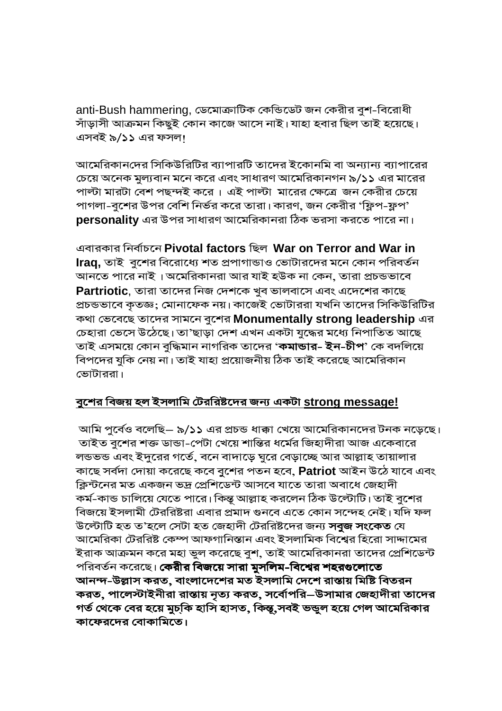anti-Bush hammering, ডেমোক্রাটিক কেন্ডিডেট জন কেরীর বুশ-বিরোধী সাঁড়াসী আক্রমন কিছুই কোন কাজে আসে নাই। যাহা হবার ছিল তাই হয়েছে। এসবই ৯/১১ এর ফসল।

আমেরিকানদের সিকিউরিটির ব্যাপারটি তাদের ইকোনমি বা অন্যান্য ব্যাপারের চেয়ে অনেক মুল্যবান মনে করে এবং সাধারণ আমেরিকানগন ৯/১১ এর মারের পাল্টা মারটা বেশ পছন্দই করে। এই পাল্টা মারের ক্ষেত্রে জন কেরীর চেয়ে পাগলা-বুশের উপর বেশি নির্ভর করে তারা। কারণ, জন কেরীর 'ফ্লিপ-ফ্লপ' **personality** এর উপর সাধারণ আমেরিকানরা ঠিক ভরসা করতে পারে না।

এবারকার নির্বাচনে Pivotal factors ছিল War on Terror and War in **Iraq,** তাই বুশের বিরোধ্যে শত প্রপাগান্ডাও ভোটারদের মনে কোন পরিবর্তন আনতে পারে নাই । অমেরিকানরা আর যাই হউক না কেন, তারা প্রচন্ডভাবে **Partriotic**, তারা তাদের নিজ দেশকে খব ভালবাসে এবং এদেশের কাছে প্রচন্ডভাবে কৃতজ্ঞ; মোনাফেক নয়। কাজেই ভোটাররা যখনি তাদের সিকিউরিটির কথা ভেবেছে তাদের সামনে বুশের **Monumentally strong leadership** এর চেহারা ভেসে উঠেছে। তা'ছাড়া দেশ এখন একটা যুদ্ধের মধ্যে নিপাতিত আছে তাই এসময়ে কোন বুদ্ধিমান নাগরিক তাদের '**কমান্ডার- ইন-চীপ**' কে বদলিয়ে বিপদের যুকি নেয় না। তাই যাহা প্রয়োজনীয় ঠিক তাই করেছে আমেরিকান ভোটাররা।

## <u>বুশের বিজয় হল ইসলামি টেররিষ্টদের জন্য একটা strong message!</u>

আমি পুর্বেও বলেছি– ৯/১১ এর প্রচন্ড ধাক্কা খেয়ে আমেরিকানদের টনক নড়েছে। তাইত বুশের শক্ত ডান্ডা-পেটা খেয়ে শান্তির ধর্মের জিহাদীরা আজ একেবারে লন্ডভন্ড এবং ইদুরের গর্তে, বনে বাদাড়ে ঘুরে বেড়াচ্ছে আর আল্লাহ তায়ালার কাছে সৰ্বদা দোয়া করেছে কবে বুশের পতন হবে, **Patriot** আইন উঠে যাবে এবং ক্লিন্টনের মত একজন ভদ্র প্রেশিডেন্ট আসবে যাতে তারা অবাধে জেহাদী কৰ্ম-কান্ড চালিয়ে যেতে পারে। কিন্তূ আল্লাহ করলেন ঠিক উল্টোটি। তাই বুশের বিজয়ে ইসলামী টেররিষ্টরা এবার প্রমাদ গুনবে এতে কোন সন্দেহ নেই। যদি ফল উল্টোটি হত ত'হলে সেটা হত জেহাদী টেররিষ্টদের জন্য **সবজ সংকেত** যে আমেরিকা টেররিষ্ট কেম্প আফগানিস্তান এবং ইসলামিক বিশ্বের হিরো সাদ্দামের ইরাক আক্রমন করে মহা ভল করেছে বশ, তাই আমেরিকানরা তাদের প্রেশিডেন্ট পরিবর্তন করেছে। **কেরীর বিজয়ে সারা মুসলিম-বিশ্বের শহরগুলোতে** আনন্দ-উল্লাস করত, বাংলাদেশের মত ইসলামি দেশে রান্তায় মিষ্টি বিতরন করত, পালেস্টাইনীরা রাস্তায় নৃত্য করত, সর্বোপরি–উসামার জেহাদীরা তাদের গর্ত থেকে বের হয়ে মুচ্কি হাসি হাসত, কিন্তূ,সবই ভভূল হয়ে গেল আমেরিকার কাফেরদের বোকামিতে।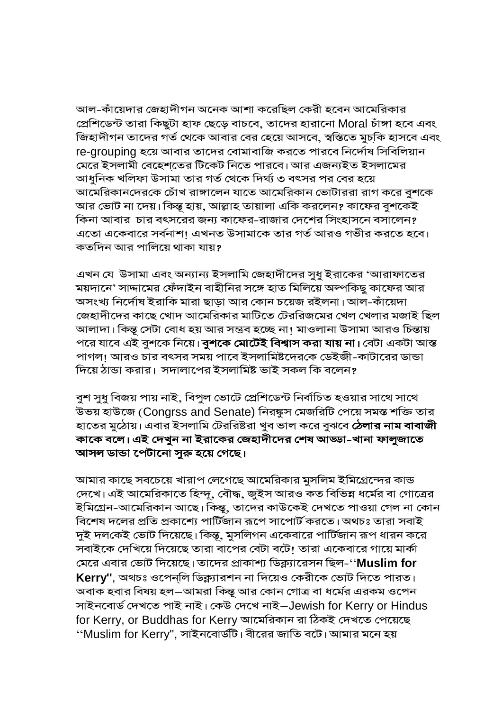আল-কাঁয়েদার জেহাদীগন অনেক আশা করেছিল কেরী হবেন আমেরিকার প্রেশিডেন্ট তারা কিছুটা হাফ ছেড়ে বাচবে, তাদের হারানো Moral চাঁঙ্গা হবে এবং জিহাদীগন তাদের গর্ত থেকে আবার বের হেয়ে আসবে, স্বস্তিতে মুচ্কি হাসবে এবং re-grouping হয়ে আবার তাদের বোমাবাজি করতে পারবে নির্দোষ সিবিলিয়ান মেরে ইসলামী বেহেশতের টিকেট নিতে পারবে। আর এজন্যইত ইসলামের আধুনিক খলিফা উসামা তার গর্ত থেকে দির্ঘ্য ৩ বৎসর পর বের হয়ে আমেরিকানদেরকে চোঁখ রাঙ্গালেন যাতে আমেরিকান ভোটাররা রাগ করে বুশকে আর ভোট না দেয়। কিন্তূ হায়, আল্লাহ তায়ালা একি করলেন? কাফের বুশকেই কিনা আবার চার বৎসরের জন্য কাফের-রাজার দেশের সিংহাসনে বসালেন? এতো একেবারে সর্বনাশ! এখনত উসামাকে তার গর্ত আরও গভীর করতে হবে। কতদিন আর পালিয়ে থাকা যায়?

এখন যে উসামা এবং অন্যান্য ইসলামি জেহাদীদের সুধু ইরাকের 'আরাফাতের ময়দানে' সাদ্দামের ফেঁদাইন বাহীনির সঙ্গে হাত মিলিয়ে অল্পকিছু কাফের আর অসংখ্য নির্দোষ ইরাকি মারা ছাড়া আর কোন চয়েজ রইলনা। আল-কাঁয়েদা জেহাদীদের কাছে খোদ আমেরিকার মাটিতে টেররিজমের খেল খেলার মজাই ছিল আলাদা। কিন্তু সেটা বোধ হয় আর সন্তব হচ্ছে না! মাওলানা উসামা আরও চিন্তায় পরে যাবে এই বুশকে নিয়ে। **বুশকে মোটেই বিশ্বাস করা যায় না।** বেটা একটা আস্ত পাগল! আরও চার বৎসর সময় পাবে ইসলামিষ্টদেরকে ডেইজী-কাটারের ডান্ডা দিয়ে ঠান্ডা করার। সদালাপের ইসলামিষ্ট ভাই সকল কি বলেন?

বুশ সুধু বিজয় পায় নাই, বিপুল ভোটে প্রেশিডেন্ট নির্বাচিত হওয়ার সাথে সাথে উভয় হাউজে (Congrss and Senate) নিরস্কুস মেজরিটি পেয়ে সমস্ত শক্তি তার হাতের মুঠোয়। এবার ইসলামি টেররিষ্টরা খুব ভাল করে বুঝবে **ঠেলার নাম বাবাজী** কাকে বলে। এই দেখুন না ইরাকের জেহাদীদের শেষ আড্ডা-খানা ফালুজাতে আসল ডান্ডা পেটানো সুরু হয়ে গেছে।

আমার কাছে সবচেয়ে খারাপ লেগেছে আমেরিকার মুসলিম ইমিগ্রেন্দের কান্ড দেখে। এই আমেরিকাতে হিন্দূ, বৌদ্ধ, জুইস আরও কত বিভিন্ন ধর্মের বা গোত্রের ইমিগ্রেন-আমেরিকান আছে। কিন্তু, তাদের কাউকেই দেখতে পাওয়া গেল না কোন বিশেষ দলের প্রতি প্রকাশ্যে পার্টিজান রূপে সাপোর্ট করতে। অথচঃ তারা সবাই দুই দলকেই ভোট দিয়েছে। কিন্তু, মুসলিগন একেবারে পার্টিজান রূপ ধারন করে সবাইকে দেখিয়ে দিয়েছে তারা বাপের বেটা বটে! তারা একেবারে গায়ে মার্কা মেরে এবার ভোট দিয়েছে। তাদের প্রাকাশ্য ডিক্ল্যারেসন ছিল-''**Muslim for**  $\,$ Kerry'', অথচঃ ওপেন্লি ডিক্ল্যারশন না দিয়েও কেরীকে ভোট দিতে পারত। অবাক হবার বিষয় হল—আমরা কিন্তূ আর কোন গোত্র বা ধর্মের এরকম ওপেন সাইনবোৰ্ড দেখতে পাই নাই। কেউ দেখে নাই–Jewish for Kerry or Hindus for Kerry, or Buddhas for Kerry আমেরিকান রা ঠিকই দেখতে পেয়েছে ''Muslim for Kerry'', সাইনবোর্ডটি। বীরের জাতি বটে। আমার মনে হয়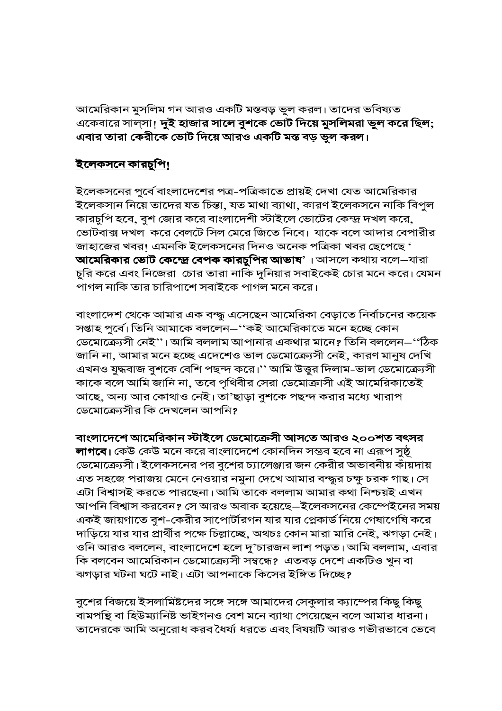আমেরিকান মুসলিম গন আরও একটি মস্তবড় ভুল করল। তাদের ভবিষ্যত একেবারে সাল্সা! দুই হাজার সালে বুশকে ভোট দিয়ে মুসলিমরা ভুল করে ছিল; এবার তারা কেরীকে ভোট দিয়ে আরও একটি মস্ত বড় ভুল করল।

## <u>ইলেকসনে কারচুপি।</u>

ইলেকসনের পুর্বে বাংলাদেশের পত্র-পত্রিকাতে প্রায়ই দেখা যেত আমেরিকার ইলেকসান নিয়ে তাদের যত চিন্তা, যত মাথা ব্যাথা, কারণ ইলেকসনে নাকি বিপুল কারচুপি হবে, বুশ জোর করে বাংলাদেশী স্টাইলে ভোটের কেন্দ্র দখল করে, ভোটবাক্স দখল করে বেলটে সিল মেরে জিতে নিবে। যাকে বলে আদার বেপারীর জাহাজের খবর! এমনকি ইলেকসনের দিনও অনেক পত্রিকা খবর ছেপেছে ' আমেরিকার ভোট কেন্দ্রে বেপক কারচুপির আভাষ'। আসলে কথায় বলে–যারা চুরি করে এবং নিজেরা চোর তারা নাকি দুনিয়ার সবাইকেই চোর মনে করে। যেমন পাগল নাকি তার চারিপাশে সবাইকে পাগল মনে করে।

বাংলাদেশ থেকে আমার এক বন্দ্ধ এসেছেন আমেরিকা বেড়াতে নির্বাচনের কয়েক সপ্তাহ পুর্বে। তিনি আমাকে বললেন–''কই আমেরিকাতে মনে হচ্ছে কোন ডেমোক্র্যেসী নেই''। আমি বললাম আপানার একথার মানে? তিনি বললেন–''ঠিক জানি না, আমার মনে হচ্ছে এদেশেও ভাল ডেমোক্র্যেসী নেই, কারণ মানুষ দেখি এখনও যুদ্ধবাজ বুশকে বেশি পছন্দ করে।'' আমি উত্তুর দিলাম-ভাল ডেমোক্র্যেসী কাকে বলে আমি জানি না, তবে পৃথিবীর সেরা ডেমোক্রাসী এই আমেরিকাতেই আছে, অন্য আর কোথাও নেই। তা'ছাড়া বুশকে পছন্দ করার মধ্যে খারাপ ডেমোক্র্যেসীর কি দেখলেন আপনি?

বাংলাদেশে আমেরিকান স্টাইলে ডেমোক্রেসী আসতে আরও ২০০শত বৎসর

**লাগবে।** কেউ কেউ মনে করে বাংলাদেশে কোনদিন সম্ভব হবে না এরূপ সুষ্ঠূ ডেমোক্র্যেসী। ইলেকসনের পর বুশের চ্যালেঞ্জার জন কেরীর অভাবনীয় কাঁয়দায় এত সহজে পরাজয় মেনে নেওয়ার নমুনা দেখে আমার বন্দ্ধর চক্ষু চরক গাছ। সে এটা বিশ্বাসই করতে পারছেনা। আমি তাকে বললাম আমার কথা নিশ্চয়ই এখন আপনি বিশ্বাস করবেন? সে আরও অবাক হয়েছে—ইলেকসনের কেস্পেইনের সময় একই জায়গাতে বুশ-কেরীর সাপোর্টারগন যার যার প্লেকার্ড নিয়ে গেষাগেষি করে দাড়িয়ে যার যার প্রার্থীর পক্ষে চিল্লাচ্ছে, অথচঃ কোন মারা মারি নেই, ঝগড়া নেই। ওনি আরও বললেন, বাংলাদেশে হলে দু'চারজন লাশ পড়ত। আমি বললাম, এবার কি বলবেন আমেরিকান ডেমোক্র্যেসী সম্বন্ধে? এতবড় দেশে একটিও খুন বা ঝগড়ার ঘটনা ঘটে নাই। এটা আপনাকে কিসের ইঙ্গিত দিচ্ছে?

বুশের বিজয়ে ইসলামিষ্টদের সঙ্গে সঙ্গে আমাদের সেকুলার ক্যাস্পের কিছু কিছু বামপন্থি বা হিউম্যানিষ্ট ভাইগনও বেশ মনে ব্যাথা পেয়েছেন বলে আমার ধারনা। তাদেরকে আমি অনুরোধ করব ধৈর্য্য ধরতে এবং বিষয়টি আরও গভীরভাবে ভেবে